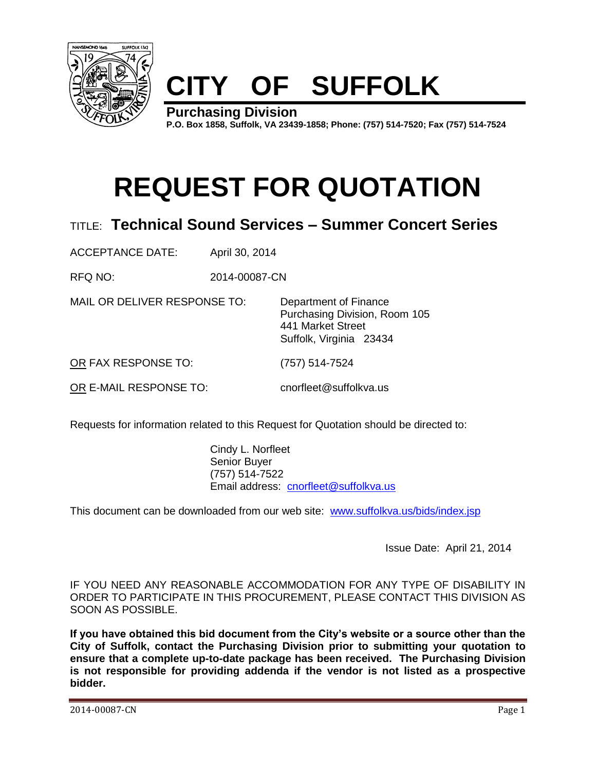

# **CITY OF SUFFOLK**

**Purchasing Division P.O. Box 1858, Suffolk, VA 23439-1858; Phone: (757) 514-7520; Fax (757) 514-7524**

# **REQUEST FOR QUOTATION**

### TITLE: **Technical Sound Services – Summer Concert Series**

ACCEPTANCE DATE: April 30, 2014

RFQ NO: 2014-00087-CN

MAIL OR DELIVER RESPONSE TO: Department of Finance

Purchasing Division, Room 105 441 Market Street Suffolk, Virginia 23434

OR FAX RESPONSE TO: (757) 514-7524

OR E-MAIL RESPONSE TO: cnorfleet@suffolkva.us

Requests for information related to this Request for Quotation should be directed to:

Cindy L. Norfleet Senior Buyer (757) 514-7522 Email address: [cnorfleet@suffolkva.us](mailto:cnorfleet@suffolkva.us)

This document can be downloaded from our web site: [www.suffolkva.us/bids/index.jsp](http://www.suffolkva.us/bids/index.jsp)

Issue Date: April 21, 2014

IF YOU NEED ANY REASONABLE ACCOMMODATION FOR ANY TYPE OF DISABILITY IN ORDER TO PARTICIPATE IN THIS PROCUREMENT, PLEASE CONTACT THIS DIVISION AS SOON AS POSSIBLE.

**If you have obtained this bid document from the City's website or a source other than the City of Suffolk, contact the Purchasing Division prior to submitting your quotation to ensure that a complete up-to-date package has been received. The Purchasing Division is not responsible for providing addenda if the vendor is not listed as a prospective bidder.**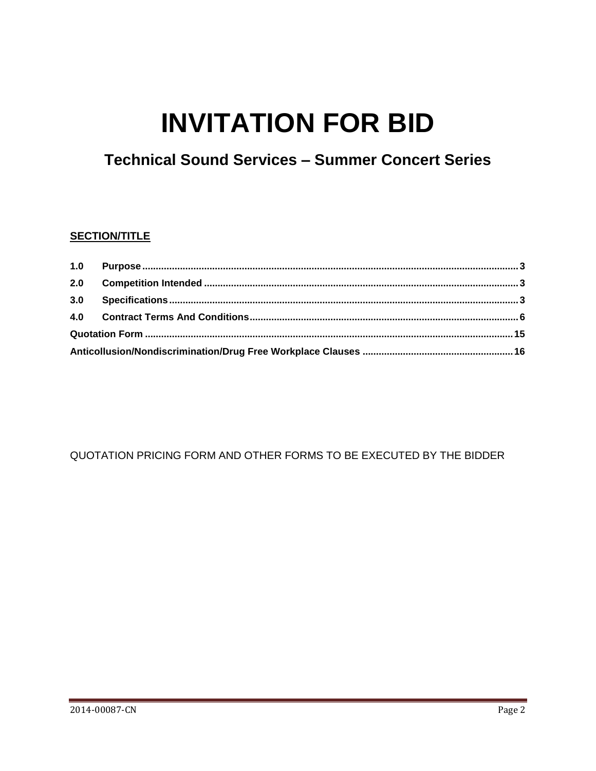# **INVITATION FOR BID**

## **Technical Sound Services - Summer Concert Series**

### **SECTION/TITLE**

QUOTATION PRICING FORM AND OTHER FORMS TO BE EXECUTED BY THE BIDDER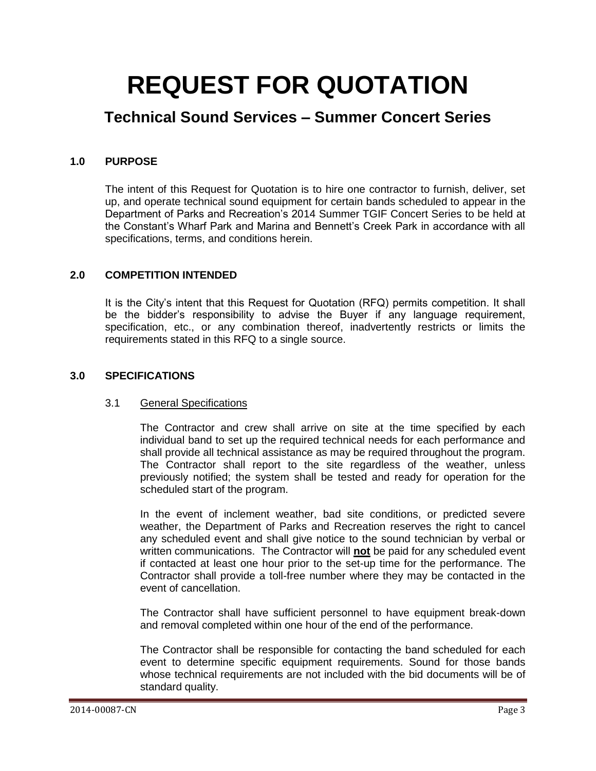## **REQUEST FOR QUOTATION**

### **Technical Sound Services – Summer Concert Series**

### <span id="page-2-0"></span>**1.0 PURPOSE**

The intent of this Request for Quotation is to hire one contractor to furnish, deliver, set up, and operate technical sound equipment for certain bands scheduled to appear in the Department of Parks and Recreation's 2014 Summer TGIF Concert Series to be held at the Constant's Wharf Park and Marina and Bennett's Creek Park in accordance with all specifications, terms, and conditions herein.

### <span id="page-2-1"></span>**2.0 COMPETITION INTENDED**

It is the City's intent that this Request for Quotation (RFQ) permits competition. It shall be the bidder's responsibility to advise the Buyer if any language requirement, specification, etc., or any combination thereof, inadvertently restricts or limits the requirements stated in this RFQ to a single source.

#### <span id="page-2-2"></span>**3.0 SPECIFICATIONS**

#### 3.1 General Specifications

The Contractor and crew shall arrive on site at the time specified by each individual band to set up the required technical needs for each performance and shall provide all technical assistance as may be required throughout the program. The Contractor shall report to the site regardless of the weather, unless previously notified; the system shall be tested and ready for operation for the scheduled start of the program.

In the event of inclement weather, bad site conditions, or predicted severe weather, the Department of Parks and Recreation reserves the right to cancel any scheduled event and shall give notice to the sound technician by verbal or written communications. The Contractor will **not** be paid for any scheduled event if contacted at least one hour prior to the set-up time for the performance. The Contractor shall provide a toll-free number where they may be contacted in the event of cancellation.

The Contractor shall have sufficient personnel to have equipment break-down and removal completed within one hour of the end of the performance.

The Contractor shall be responsible for contacting the band scheduled for each event to determine specific equipment requirements. Sound for those bands whose technical requirements are not included with the bid documents will be of standard quality.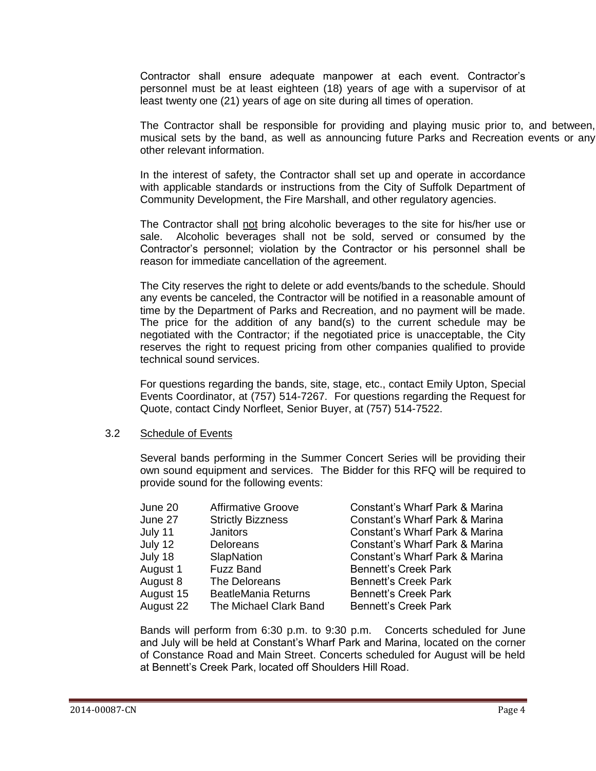Contractor shall ensure adequate manpower at each event. Contractor's personnel must be at least eighteen (18) years of age with a supervisor of at least twenty one (21) years of age on site during all times of operation.

The Contractor shall be responsible for providing and playing music prior to, and between, musical sets by the band, as well as announcing future Parks and Recreation events or any other relevant information.

In the interest of safety, the Contractor shall set up and operate in accordance with applicable standards or instructions from the City of Suffolk Department of Community Development, the Fire Marshall, and other regulatory agencies.

The Contractor shall not bring alcoholic beverages to the site for his/her use or sale. Alcoholic beverages shall not be sold, served or consumed by the Contractor's personnel; violation by the Contractor or his personnel shall be reason for immediate cancellation of the agreement.

The City reserves the right to delete or add events/bands to the schedule. Should any events be canceled, the Contractor will be notified in a reasonable amount of time by the Department of Parks and Recreation, and no payment will be made. The price for the addition of any band(s) to the current schedule may be negotiated with the Contractor; if the negotiated price is unacceptable, the City reserves the right to request pricing from other companies qualified to provide technical sound services.

For questions regarding the bands, site, stage, etc., contact Emily Upton, Special Events Coordinator, at (757) 514-7267. For questions regarding the Request for Quote, contact Cindy Norfleet, Senior Buyer, at (757) 514-7522.

#### 3.2 Schedule of Events

Several bands performing in the Summer Concert Series will be providing their own sound equipment and services. The Bidder for this RFQ will be required to provide sound for the following events:

| June 20   | <b>Affirmative Groove</b>  | Constant's Wharf Park & Marina |
|-----------|----------------------------|--------------------------------|
| June 27   | <b>Strictly Bizzness</b>   | Constant's Wharf Park & Marina |
| July 11   | Janitors                   | Constant's Wharf Park & Marina |
| July 12   | Deloreans                  | Constant's Wharf Park & Marina |
| July 18   | SlapNation                 | Constant's Wharf Park & Marina |
| August 1  | <b>Fuzz Band</b>           | <b>Bennett's Creek Park</b>    |
| August 8  | The Deloreans              | <b>Bennett's Creek Park</b>    |
| August 15 | <b>BeatleMania Returns</b> | <b>Bennett's Creek Park</b>    |
| August 22 | The Michael Clark Band     | <b>Bennett's Creek Park</b>    |
|           |                            |                                |

Bands will perform from 6:30 p.m. to 9:30 p.m. Concerts scheduled for June and July will be held at Constant's Wharf Park and Marina, located on the corner of Constance Road and Main Street. Concerts scheduled for August will be held at Bennett's Creek Park, located off Shoulders Hill Road.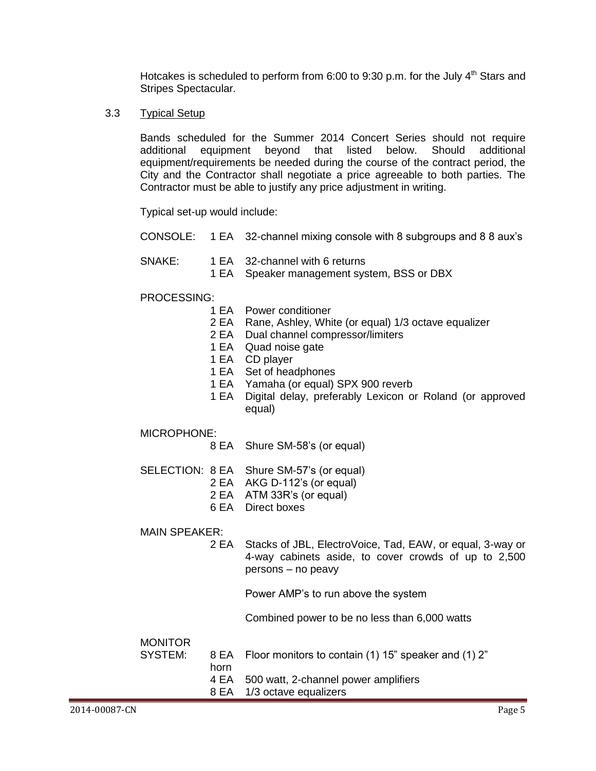Hotcakes is scheduled to perform from 6:00 to 9:30 p.m. for the July  $4<sup>th</sup>$  Stars and Stripes Spectacular.

3.3 Typical Setup

Bands scheduled for the Summer 2014 Concert Series should not require additional equipment beyond that listed below. Should additional equipment/requirements be needed during the course of the contract period, the City and the Contractor shall negotiate a price agreeable to both parties. The Contractor must be able to justify any price adjustment in writing.

Typical set-up would include:

- CONSOLE: 1 EA 32-channel mixing console with 8 subgroups and 8 8 aux's
- SNAKE: 1 EA 32-channel with 6 returns
	- 1 EA Speaker management system, BSS or DBX

#### PROCESSING:

- 1 EA Power conditioner
- 2 EA Rane, Ashley, White (or equal) 1/3 octave equalizer
- 2 EA Dual channel compressor/limiters
- 1 EA Quad noise gate
- 1 EA CD player
- 1 EA Set of headphones
- 1 EA Yamaha (or equal) SPX 900 reverb
- 1 EA Digital delay, preferably Lexicon or Roland (or approved equal)

MICROPHONE:

- 8 EA Shure SM-58's (or equal)
- SELECTION: 8 EA Shure SM-57's (or equal)
	- 2 EA AKG D-112's (or equal)
	- 2 EA ATM 33R's (or equal)
	- 6 EA Direct boxes

MAIN SPEAKER:

2 EA Stacks of JBL, ElectroVoice, Tad, EAW, or equal, 3-way or 4-way cabinets aside, to cover crowds of up to 2,500 persons – no peavy

Power AMP's to run above the system

Combined power to be no less than 6,000 watts

**MONITOR** 

| SYSTEM: |      | 8 EA Floor monitors to contain (1) 15" speaker and (1) 2" |
|---------|------|-----------------------------------------------------------|
|         | horn |                                                           |
|         |      | 4 EA 500 watt, 2-channel power amplifiers                 |
|         |      | 8 EA 1/3 octave equalizers                                |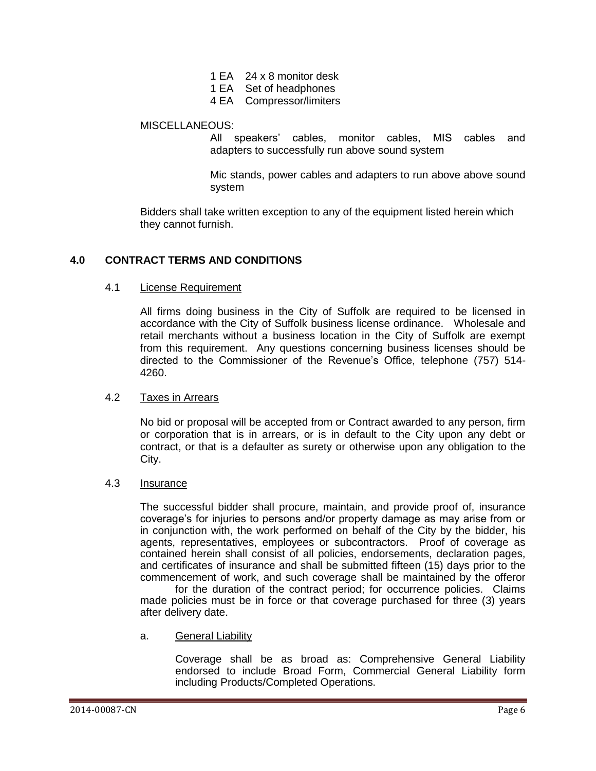- 1 EA 24 x 8 monitor desk
- 1 EA Set of headphones
- 4 EA Compressor/limiters

#### MISCELLANEOUS:

All speakers' cables, monitor cables, MIS cables and adapters to successfully run above sound system

Mic stands, power cables and adapters to run above above sound system

Bidders shall take written exception to any of the equipment listed herein which they cannot furnish.

#### <span id="page-5-0"></span>**4.0 CONTRACT TERMS AND CONDITIONS**

#### 4.1 License Requirement

All firms doing business in the City of Suffolk are required to be licensed in accordance with the City of Suffolk business license ordinance. Wholesale and retail merchants without a business location in the City of Suffolk are exempt from this requirement. Any questions concerning business licenses should be directed to the Commissioner of the Revenue's Office, telephone (757) 514- 4260.

#### 4.2 Taxes in Arrears

No bid or proposal will be accepted from or Contract awarded to any person, firm or corporation that is in arrears, or is in default to the City upon any debt or contract, or that is a defaulter as surety or otherwise upon any obligation to the City.

#### 4.3 Insurance

The successful bidder shall procure, maintain, and provide proof of, insurance coverage's for injuries to persons and/or property damage as may arise from or in conjunction with, the work performed on behalf of the City by the bidder, his agents, representatives, employees or subcontractors. Proof of coverage as contained herein shall consist of all policies, endorsements, declaration pages, and certificates of insurance and shall be submitted fifteen (15) days prior to the commencement of work, and such coverage shall be maintained by the offeror

for the duration of the contract period; for occurrence policies. Claims made policies must be in force or that coverage purchased for three (3) years after delivery date.

a. General Liability

Coverage shall be as broad as: Comprehensive General Liability endorsed to include Broad Form, Commercial General Liability form including Products/Completed Operations.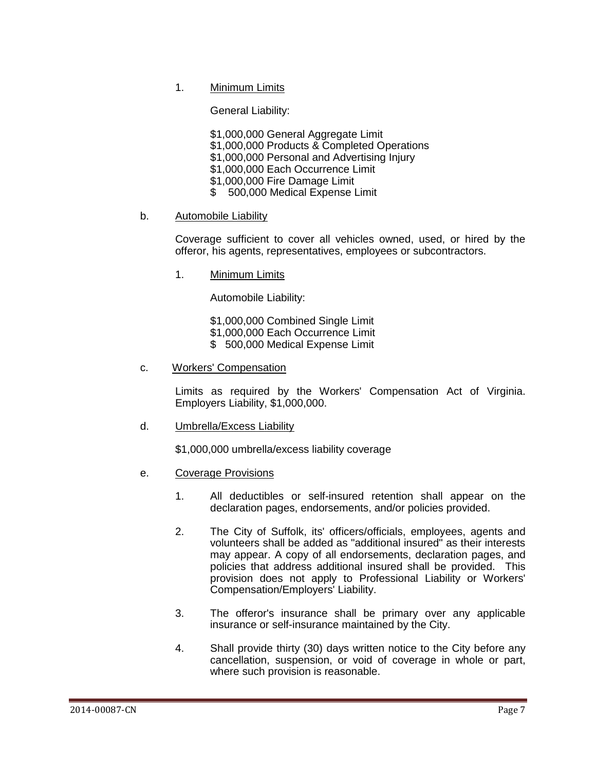1. Minimum Limits

General Liability:

\$1,000,000 General Aggregate Limit \$1,000,000 Products & Completed Operations \$1,000,000 Personal and Advertising Injury \$1,000,000 Each Occurrence Limit \$1,000,000 Fire Damage Limit \$ 500,000 Medical Expense Limit

#### b. Automobile Liability

Coverage sufficient to cover all vehicles owned, used, or hired by the offeror, his agents, representatives, employees or subcontractors.

1. Minimum Limits

Automobile Liability:

 \$1,000,000 Combined Single Limit \$1,000,000 Each Occurrence Limit

\$ 500,000 Medical Expense Limit

#### c. Workers' Compensation

Limits as required by the Workers' Compensation Act of Virginia. Employers Liability, \$1,000,000.

d. Umbrella/Excess Liability

\$1,000,000 umbrella/excess liability coverage

- e. Coverage Provisions
	- 1. All deductibles or self-insured retention shall appear on the declaration pages, endorsements, and/or policies provided.
	- 2. The City of Suffolk, its' officers/officials, employees, agents and volunteers shall be added as "additional insured" as their interests may appear. A copy of all endorsements, declaration pages, and policies that address additional insured shall be provided. This provision does not apply to Professional Liability or Workers' Compensation/Employers' Liability.
	- 3. The offeror's insurance shall be primary over any applicable insurance or self-insurance maintained by the City.
	- 4. Shall provide thirty (30) days written notice to the City before any cancellation, suspension, or void of coverage in whole or part, where such provision is reasonable.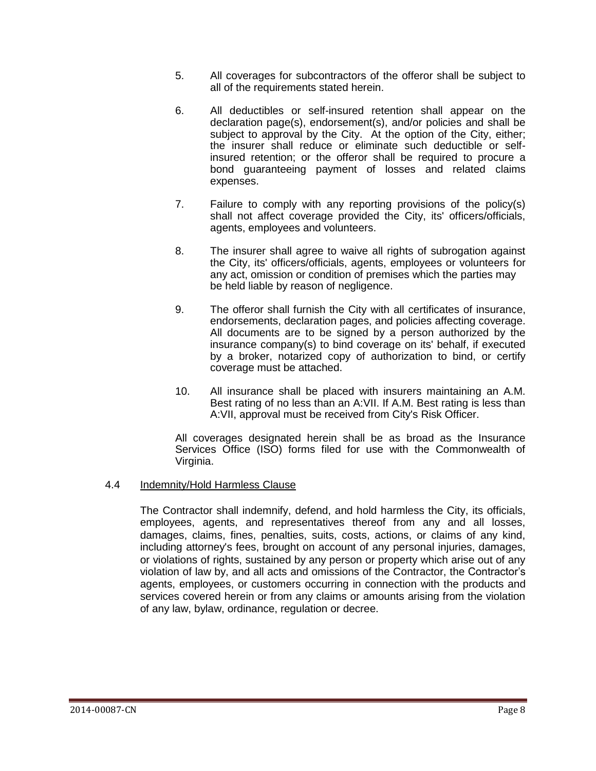- 5. All coverages for subcontractors of the offeror shall be subject to all of the requirements stated herein.
- 6. All deductibles or self-insured retention shall appear on the declaration page(s), endorsement(s), and/or policies and shall be subject to approval by the City. At the option of the City, either; the insurer shall reduce or eliminate such deductible or selfinsured retention; or the offeror shall be required to procure a bond guaranteeing payment of losses and related claims expenses.
- 7. Failure to comply with any reporting provisions of the policy(s) shall not affect coverage provided the City, its' officers/officials, agents, employees and volunteers.
- 8. The insurer shall agree to waive all rights of subrogation against the City, its' officers/officials, agents, employees or volunteers for any act, omission or condition of premises which the parties may be held liable by reason of negligence.
- 9. The offeror shall furnish the City with all certificates of insurance, endorsements, declaration pages, and policies affecting coverage. All documents are to be signed by a person authorized by the insurance company(s) to bind coverage on its' behalf, if executed by a broker, notarized copy of authorization to bind, or certify coverage must be attached.
- 10. All insurance shall be placed with insurers maintaining an A.M. Best rating of no less than an A:VII. If A.M. Best rating is less than A:VII, approval must be received from City's Risk Officer.

All coverages designated herein shall be as broad as the Insurance Services Office (ISO) forms filed for use with the Commonwealth of Virginia.

#### 4.4 Indemnity/Hold Harmless Clause

The Contractor shall indemnify, defend, and hold harmless the City, its officials, employees, agents, and representatives thereof from any and all losses, damages, claims, fines, penalties, suits, costs, actions, or claims of any kind, including attorney's fees, brought on account of any personal injuries, damages, or violations of rights, sustained by any person or property which arise out of any violation of law by, and all acts and omissions of the Contractor, the Contractor's agents, employees, or customers occurring in connection with the products and services covered herein or from any claims or amounts arising from the violation of any law, bylaw, ordinance, regulation or decree.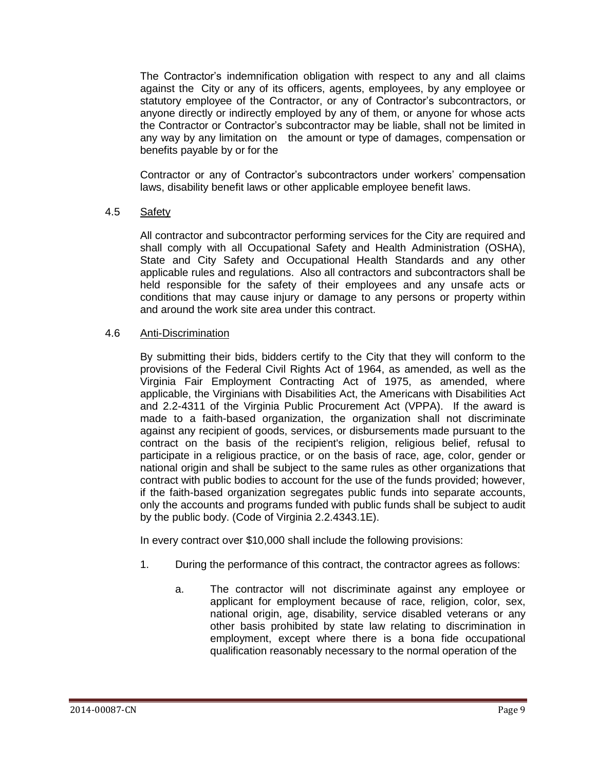The Contractor's indemnification obligation with respect to any and all claims against the City or any of its officers, agents, employees, by any employee or statutory employee of the Contractor, or any of Contractor's subcontractors, or anyone directly or indirectly employed by any of them, or anyone for whose acts the Contractor or Contractor's subcontractor may be liable, shall not be limited in any way by any limitation on the amount or type of damages, compensation or benefits payable by or for the

Contractor or any of Contractor's subcontractors under workers' compensation laws, disability benefit laws or other applicable employee benefit laws.

#### 4.5 Safety

All contractor and subcontractor performing services for the City are required and shall comply with all Occupational Safety and Health Administration (OSHA), State and City Safety and Occupational Health Standards and any other applicable rules and regulations. Also all contractors and subcontractors shall be held responsible for the safety of their employees and any unsafe acts or conditions that may cause injury or damage to any persons or property within and around the work site area under this contract.

#### 4.6 Anti-Discrimination

By submitting their bids, bidders certify to the City that they will conform to the provisions of the Federal Civil Rights Act of 1964, as amended, as well as the Virginia Fair Employment Contracting Act of 1975, as amended, where applicable, the Virginians with Disabilities Act, the Americans with Disabilities Act and 2.2-4311 of the Virginia Public Procurement Act (VPPA). If the award is made to a faith-based organization, the organization shall not discriminate against any recipient of goods, services, or disbursements made pursuant to the contract on the basis of the recipient's religion, religious belief, refusal to participate in a religious practice, or on the basis of race, age, color, gender or national origin and shall be subject to the same rules as other organizations that contract with public bodies to account for the use of the funds provided; however, if the faith-based organization segregates public funds into separate accounts, only the accounts and programs funded with public funds shall be subject to audit by the public body. (Code of Virginia 2.2.4343.1E).

In every contract over \$10,000 shall include the following provisions:

- 1. During the performance of this contract, the contractor agrees as follows:
	- a. The contractor will not discriminate against any employee or applicant for employment because of race, religion, color, sex, national origin, age, disability, service disabled veterans or any other basis prohibited by state law relating to discrimination in employment, except where there is a bona fide occupational qualification reasonably necessary to the normal operation of the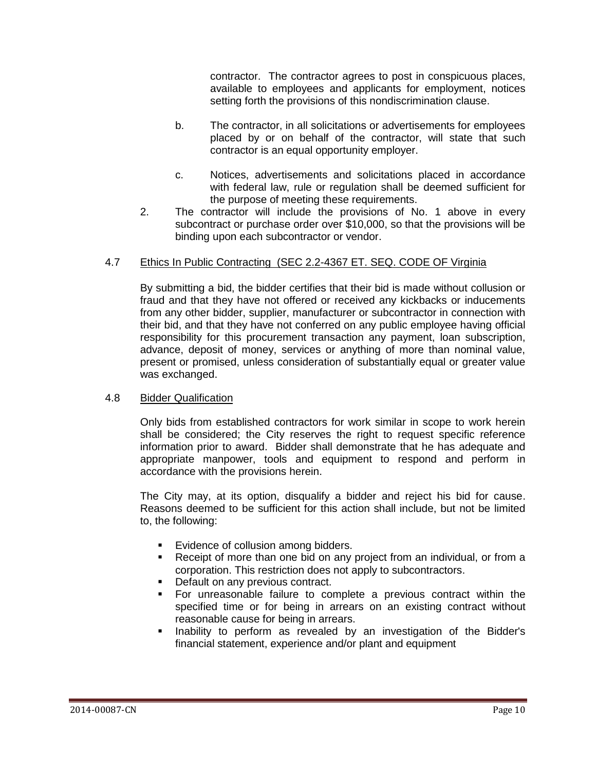contractor. The contractor agrees to post in conspicuous places, available to employees and applicants for employment, notices setting forth the provisions of this nondiscrimination clause.

- b. The contractor, in all solicitations or advertisements for employees placed by or on behalf of the contractor, will state that such contractor is an equal opportunity employer.
- c. Notices, advertisements and solicitations placed in accordance with federal law, rule or regulation shall be deemed sufficient for the purpose of meeting these requirements.
- 2. The contractor will include the provisions of No. 1 above in every subcontract or purchase order over \$10,000, so that the provisions will be binding upon each subcontractor or vendor.

### 4.7 Ethics In Public Contracting (SEC 2.2-4367 ET. SEQ. CODE OF Virginia

By submitting a bid, the bidder certifies that their bid is made without collusion or fraud and that they have not offered or received any kickbacks or inducements from any other bidder, supplier, manufacturer or subcontractor in connection with their bid, and that they have not conferred on any public employee having official responsibility for this procurement transaction any payment, loan subscription, advance, deposit of money, services or anything of more than nominal value, present or promised, unless consideration of substantially equal or greater value was exchanged.

#### 4.8 Bidder Qualification

Only bids from established contractors for work similar in scope to work herein shall be considered; the City reserves the right to request specific reference information prior to award. Bidder shall demonstrate that he has adequate and appropriate manpower, tools and equipment to respond and perform in accordance with the provisions herein.

The City may, at its option, disqualify a bidder and reject his bid for cause. Reasons deemed to be sufficient for this action shall include, but not be limited to, the following:

- Evidence of collusion among bidders.
- Receipt of more than one bid on any project from an individual, or from a corporation. This restriction does not apply to subcontractors.
- Default on any previous contract.
- For unreasonable failure to complete a previous contract within the specified time or for being in arrears on an existing contract without reasonable cause for being in arrears.
- Inability to perform as revealed by an investigation of the Bidder's financial statement, experience and/or plant and equipment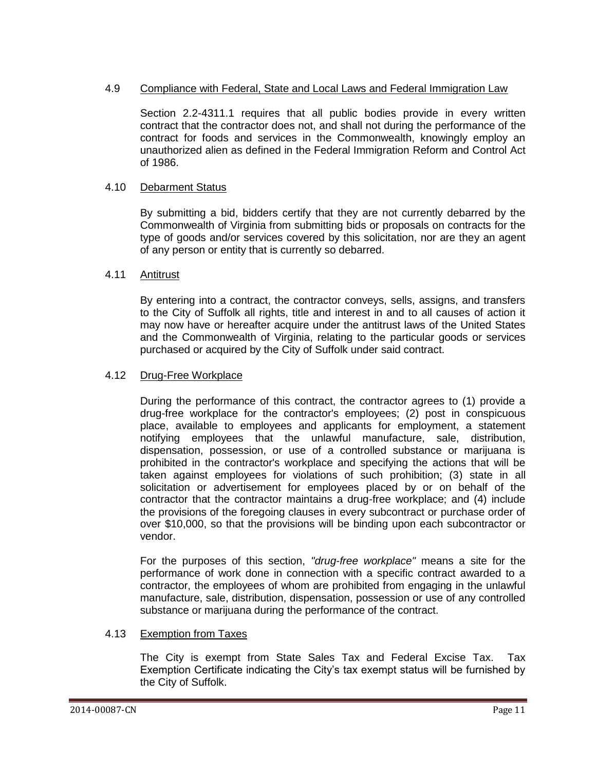### 4.9 Compliance with Federal, State and Local Laws and Federal Immigration Law

Section 2.2-4311.1 requires that all public bodies provide in every written contract that the contractor does not, and shall not during the performance of the contract for foods and services in the Commonwealth, knowingly employ an unauthorized alien as defined in the Federal Immigration Reform and Control Act of 1986.

### 4.10 Debarment Status

By submitting a bid, bidders certify that they are not currently debarred by the Commonwealth of Virginia from submitting bids or proposals on contracts for the type of goods and/or services covered by this solicitation, nor are they an agent of any person or entity that is currently so debarred.

#### 4.11 Antitrust

By entering into a contract, the contractor conveys, sells, assigns, and transfers to the City of Suffolk all rights, title and interest in and to all causes of action it may now have or hereafter acquire under the antitrust laws of the United States and the Commonwealth of Virginia, relating to the particular goods or services purchased or acquired by the City of Suffolk under said contract.

#### 4.12 Drug-Free Workplace

During the performance of this contract, the contractor agrees to (1) provide a drug-free workplace for the contractor's employees; (2) post in conspicuous place, available to employees and applicants for employment, a statement notifying employees that the unlawful manufacture, sale, distribution, dispensation, possession, or use of a controlled substance or marijuana is prohibited in the contractor's workplace and specifying the actions that will be taken against employees for violations of such prohibition; (3) state in all solicitation or advertisement for employees placed by or on behalf of the contractor that the contractor maintains a drug-free workplace; and (4) include the provisions of the foregoing clauses in every subcontract or purchase order of over \$10,000, so that the provisions will be binding upon each subcontractor or vendor.

For the purposes of this section, *"drug-free workplace"* means a site for the performance of work done in connection with a specific contract awarded to a contractor, the employees of whom are prohibited from engaging in the unlawful manufacture, sale, distribution, dispensation, possession or use of any controlled substance or marijuana during the performance of the contract.

### 4.13 Exemption from Taxes

The City is exempt from State Sales Tax and Federal Excise Tax. Tax Exemption Certificate indicating the City's tax exempt status will be furnished by the City of Suffolk.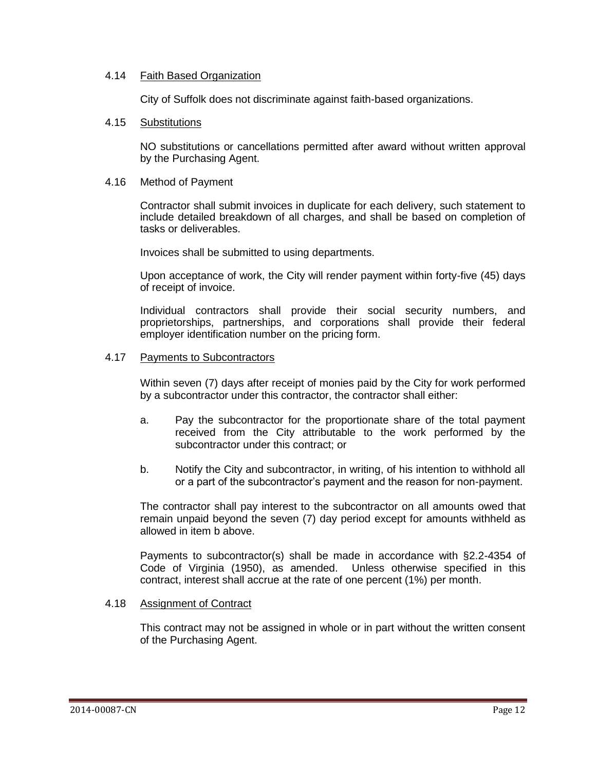#### 4.14 Faith Based Organization

City of Suffolk does not discriminate against faith-based organizations.

#### 4.15 Substitutions

NO substitutions or cancellations permitted after award without written approval by the Purchasing Agent.

#### 4.16 Method of Payment

Contractor shall submit invoices in duplicate for each delivery, such statement to include detailed breakdown of all charges, and shall be based on completion of tasks or deliverables.

Invoices shall be submitted to using departments.

Upon acceptance of work, the City will render payment within forty-five (45) days of receipt of invoice.

Individual contractors shall provide their social security numbers, and proprietorships, partnerships, and corporations shall provide their federal employer identification number on the pricing form.

#### 4.17 Payments to Subcontractors

Within seven (7) days after receipt of monies paid by the City for work performed by a subcontractor under this contractor, the contractor shall either:

- a. Pay the subcontractor for the proportionate share of the total payment received from the City attributable to the work performed by the subcontractor under this contract; or
- b. Notify the City and subcontractor, in writing, of his intention to withhold all or a part of the subcontractor's payment and the reason for non-payment.

The contractor shall pay interest to the subcontractor on all amounts owed that remain unpaid beyond the seven (7) day period except for amounts withheld as allowed in item b above.

Payments to subcontractor(s) shall be made in accordance with §2.2-4354 of Code of Virginia (1950), as amended. Unless otherwise specified in this contract, interest shall accrue at the rate of one percent (1%) per month.

### 4.18 Assignment of Contract

This contract may not be assigned in whole or in part without the written consent of the Purchasing Agent.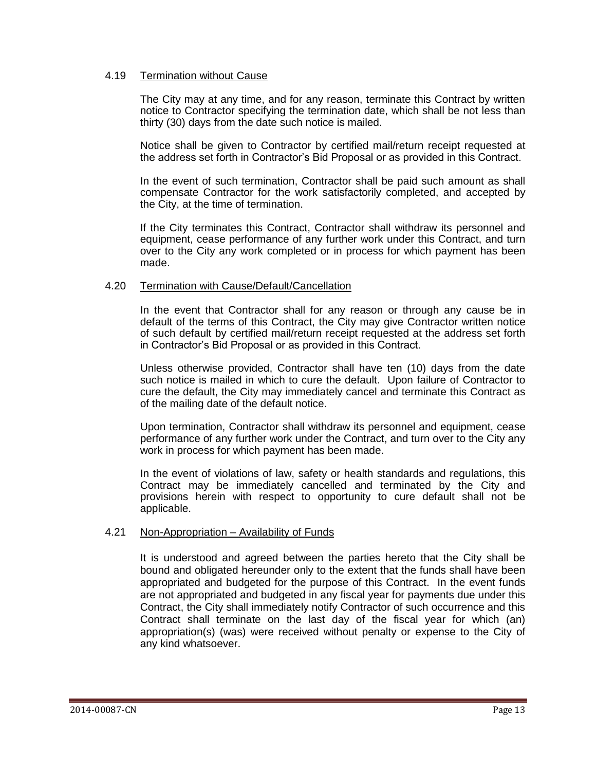#### 4.19 Termination without Cause

The City may at any time, and for any reason, terminate this Contract by written notice to Contractor specifying the termination date, which shall be not less than thirty (30) days from the date such notice is mailed.

Notice shall be given to Contractor by certified mail/return receipt requested at the address set forth in Contractor's Bid Proposal or as provided in this Contract.

In the event of such termination, Contractor shall be paid such amount as shall compensate Contractor for the work satisfactorily completed, and accepted by the City, at the time of termination.

If the City terminates this Contract, Contractor shall withdraw its personnel and equipment, cease performance of any further work under this Contract, and turn over to the City any work completed or in process for which payment has been made.

#### 4.20 Termination with Cause/Default/Cancellation

In the event that Contractor shall for any reason or through any cause be in default of the terms of this Contract, the City may give Contractor written notice of such default by certified mail/return receipt requested at the address set forth in Contractor's Bid Proposal or as provided in this Contract.

Unless otherwise provided, Contractor shall have ten (10) days from the date such notice is mailed in which to cure the default. Upon failure of Contractor to cure the default, the City may immediately cancel and terminate this Contract as of the mailing date of the default notice.

Upon termination, Contractor shall withdraw its personnel and equipment, cease performance of any further work under the Contract, and turn over to the City any work in process for which payment has been made.

In the event of violations of law, safety or health standards and regulations, this Contract may be immediately cancelled and terminated by the City and provisions herein with respect to opportunity to cure default shall not be applicable.

#### 4.21 Non-Appropriation - Availability of Funds

It is understood and agreed between the parties hereto that the City shall be bound and obligated hereunder only to the extent that the funds shall have been appropriated and budgeted for the purpose of this Contract. In the event funds are not appropriated and budgeted in any fiscal year for payments due under this Contract, the City shall immediately notify Contractor of such occurrence and this Contract shall terminate on the last day of the fiscal year for which (an) appropriation(s) (was) were received without penalty or expense to the City of any kind whatsoever.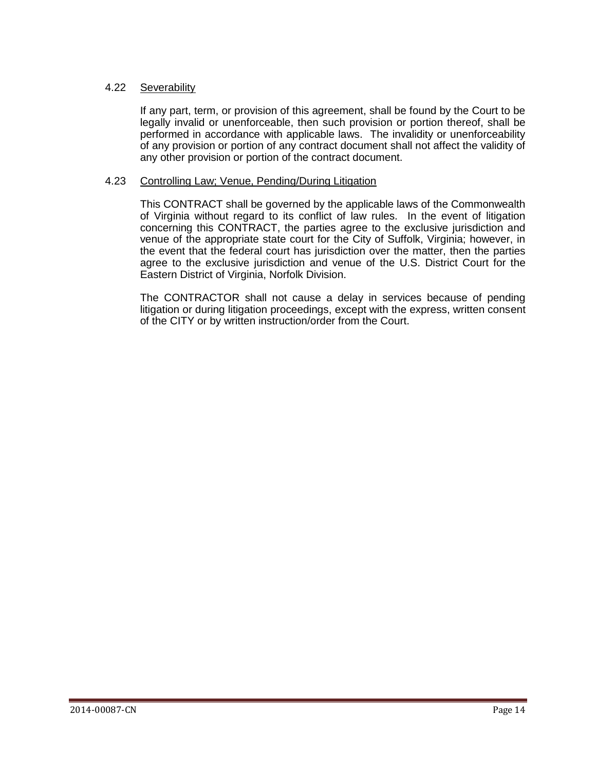#### 4.22 Severability

If any part, term, or provision of this agreement, shall be found by the Court to be legally invalid or unenforceable, then such provision or portion thereof, shall be performed in accordance with applicable laws. The invalidity or unenforceability of any provision or portion of any contract document shall not affect the validity of any other provision or portion of the contract document.

#### 4.23 Controlling Law; Venue, Pending/During Litigation

This CONTRACT shall be governed by the applicable laws of the Commonwealth of Virginia without regard to its conflict of law rules. In the event of litigation concerning this CONTRACT, the parties agree to the exclusive jurisdiction and venue of the appropriate state court for the City of Suffolk, Virginia; however, in the event that the federal court has jurisdiction over the matter, then the parties agree to the exclusive jurisdiction and venue of the U.S. District Court for the Eastern District of Virginia, Norfolk Division.

<span id="page-13-0"></span>The CONTRACTOR shall not cause a delay in services because of pending litigation or during litigation proceedings, except with the express, written consent of the CITY or by written instruction/order from the Court.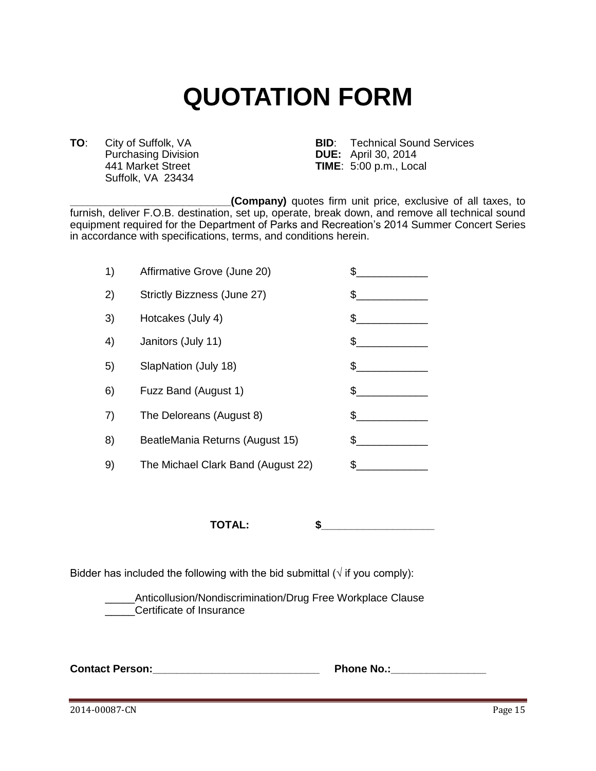## **QUOTATION FORM**

Purchasing Division<br>441 Market Street Suffolk, VA 23434

**TO**: City of Suffolk, VA **BID**: Technical Sound Services<br>Purchasing Division **BUE:** April 30, 2014 **TIME**: 5:00 p.m., Local

**\_\_\_\_\_\_\_\_\_\_\_\_\_\_\_\_\_\_\_\_\_\_\_\_\_\_\_(Company)** quotes firm unit price, exclusive of all taxes, to furnish, deliver F.O.B. destination, set up, operate, break down, and remove all technical sound equipment required for the Department of Parks and Recreation's 2014 Summer Concert Series in accordance with specifications, terms, and conditions herein.

| 1) | Affirmative Grove (June 20)        | \$  |
|----|------------------------------------|-----|
| 2) | Strictly Bizzness (June 27)        | \$  |
| 3) | Hotcakes (July 4)                  | \$  |
| 4) | Janitors (July 11)                 | \$  |
| 5) | SlapNation (July 18)               | \$  |
| 6) | Fuzz Band (August 1)               | \$  |
| 7) | The Deloreans (August 8)           | \$  |
| 8) | BeatleMania Returns (August 15)    | \$. |
| 9) | The Michael Clark Band (August 22) | \$  |
|    |                                    |     |

**TOTAL: \$\_\_\_\_\_\_\_\_\_\_\_\_\_\_\_\_\_\_\_**

Bidder has included the following with the bid submittal ( $\sqrt{ }$  if you comply):

\_\_\_\_\_Anticollusion/Nondiscrimination/Drug Free Workplace Clause \_\_\_\_\_Certificate of Insurance

**Contact Person:\_\_\_\_\_\_\_\_\_\_\_\_\_\_\_\_\_\_\_\_\_\_\_\_\_\_\_\_ Phone No.:\_\_\_\_\_\_\_\_\_\_\_\_\_\_\_\_** 

2014-00087-CN Page 15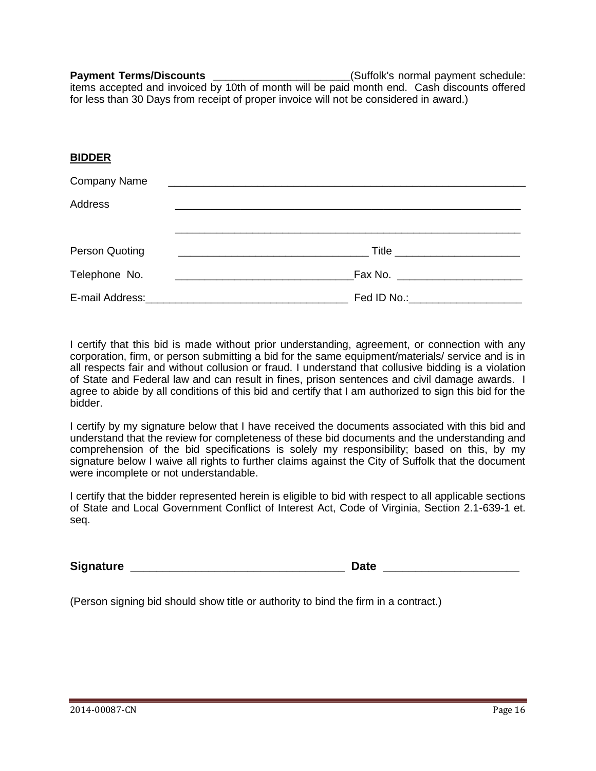**Payment Terms/Discounts Payment Schedule: Payment Schedule: Payment schedule:** items accepted and invoiced by 10th of month will be paid month end. Cash discounts offered for less than 30 Days from receipt of proper invoice will not be considered in award.)

| <b>BIDDER</b>       |                                                                  |
|---------------------|------------------------------------------------------------------|
| <b>Company Name</b> |                                                                  |
| Address             |                                                                  |
| Person Quoting      | Title _________________________                                  |
| Telephone No.       | <u> 1980 - Jan James James Barnett, fransk politik (d. 1980)</u> |
|                     | Fed ID No.: _____________________                                |

I certify that this bid is made without prior understanding, agreement, or connection with any corporation, firm, or person submitting a bid for the same equipment/materials/ service and is in all respects fair and without collusion or fraud. I understand that collusive bidding is a violation of State and Federal law and can result in fines, prison sentences and civil damage awards. I agree to abide by all conditions of this bid and certify that I am authorized to sign this bid for the bidder.

I certify by my signature below that I have received the documents associated with this bid and understand that the review for completeness of these bid documents and the understanding and comprehension of the bid specifications is solely my responsibility; based on this, by my signature below I waive all rights to further claims against the City of Suffolk that the document were incomplete or not understandable.

I certify that the bidder represented herein is eligible to bid with respect to all applicable sections of State and Local Government Conflict of Interest Act, Code of Virginia, Section 2.1-639-1 et. seq.

**Signature \_\_\_\_\_\_\_\_\_\_\_\_\_\_\_\_\_\_\_\_\_\_\_\_\_\_\_\_\_\_\_\_\_ Date \_\_\_\_\_\_\_\_\_\_\_\_\_\_\_\_\_\_\_\_\_**

<span id="page-15-0"></span>(Person signing bid should show title or authority to bind the firm in a contract.)